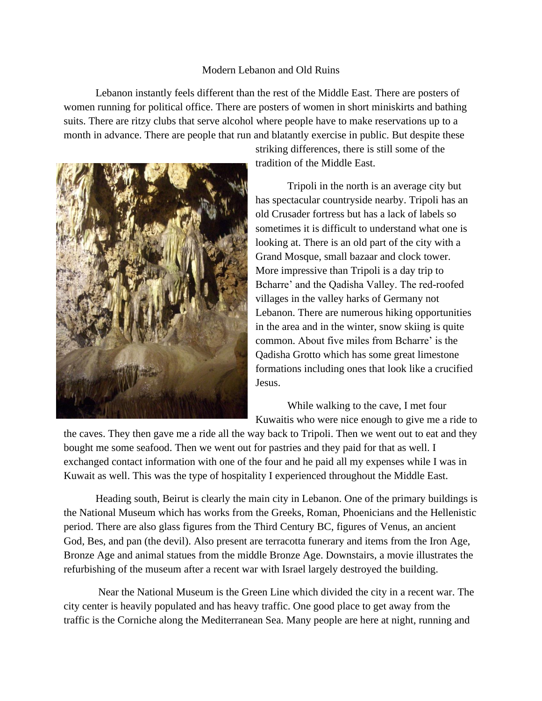## Modern Lebanon and Old Ruins

Lebanon instantly feels different than the rest of the Middle East. There are posters of women running for political office. There are posters of women in short miniskirts and bathing suits. There are ritzy clubs that serve alcohol where people have to make reservations up to a month in advance. There are people that run and blatantly exercise in public. But despite these



striking differences, there is still some of the tradition of the Middle East.

Tripoli in the north is an average city but has spectacular countryside nearby. Tripoli has an old Crusader fortress but has a lack of labels so sometimes it is difficult to understand what one is looking at. There is an old part of the city with a Grand Mosque, small bazaar and clock tower. More impressive than Tripoli is a day trip to Bcharre' and the Qadisha Valley. The red-roofed villages in the valley harks of Germany not Lebanon. There are numerous hiking opportunities in the area and in the winter, snow skiing is quite common. About five miles from Bcharre' is the Qadisha Grotto which has some great limestone formations including ones that look like a crucified Jesus.

While walking to the cave, I met four Kuwaitis who were nice enough to give me a ride to

the caves. They then gave me a ride all the way back to Tripoli. Then we went out to eat and they bought me some seafood. Then we went out for pastries and they paid for that as well. I exchanged contact information with one of the four and he paid all my expenses while I was in Kuwait as well. This was the type of hospitality I experienced throughout the Middle East.

Heading south, Beirut is clearly the main city in Lebanon. One of the primary buildings is the National Museum which has works from the Greeks, Roman, Phoenicians and the Hellenistic period. There are also glass figures from the Third Century BC, figures of Venus, an ancient God, Bes, and pan (the devil). Also present are terracotta funerary and items from the Iron Age, Bronze Age and animal statues from the middle Bronze Age. Downstairs, a movie illustrates the refurbishing of the museum after a recent war with Israel largely destroyed the building.

Near the National Museum is the Green Line which divided the city in a recent war. The city center is heavily populated and has heavy traffic. One good place to get away from the traffic is the Corniche along the Mediterranean Sea. Many people are here at night, running and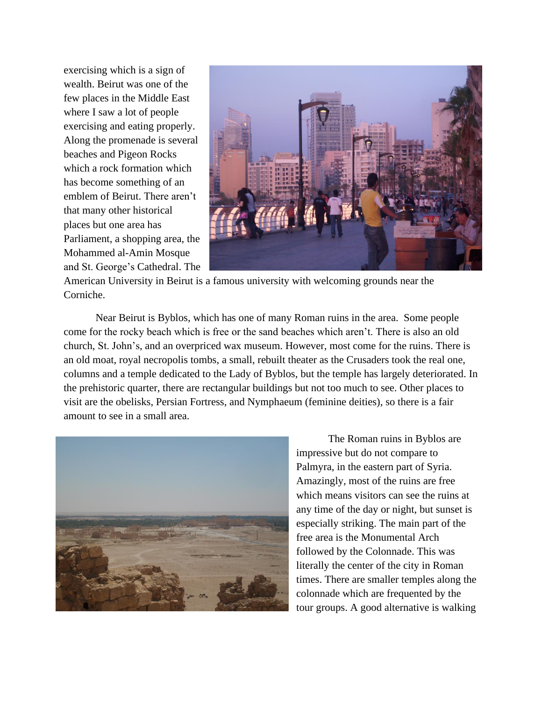exercising which is a sign of wealth. Beirut was one of the few places in the Middle East where I saw a lot of people exercising and eating properly. Along the promenade is several beaches and Pigeon Rocks which a rock formation which has become something of an emblem of Beirut. There aren't that many other historical places but one area has Parliament, a shopping area, the Mohammed al-Amin Mosque and St. George's Cathedral. The



American University in Beirut is a famous university with welcoming grounds near the Corniche.

Near Beirut is Byblos, which has one of many Roman ruins in the area. Some people come for the rocky beach which is free or the sand beaches which aren't. There is also an old church, St. John's, and an overpriced wax museum. However, most come for the ruins. There is an old moat, royal necropolis tombs, a small, rebuilt theater as the Crusaders took the real one, columns and a temple dedicated to the Lady of Byblos, but the temple has largely deteriorated. In the prehistoric quarter, there are rectangular buildings but not too much to see. Other places to visit are the obelisks, Persian Fortress, and Nymphaeum (feminine deities), so there is a fair amount to see in a small area.



The Roman ruins in Byblos are impressive but do not compare to Palmyra, in the eastern part of Syria. Amazingly, most of the ruins are free which means visitors can see the ruins at any time of the day or night, but sunset is especially striking. The main part of the free area is the Monumental Arch followed by the Colonnade. This was literally the center of the city in Roman times. There are smaller temples along the colonnade which are frequented by the tour groups. A good alternative is walking